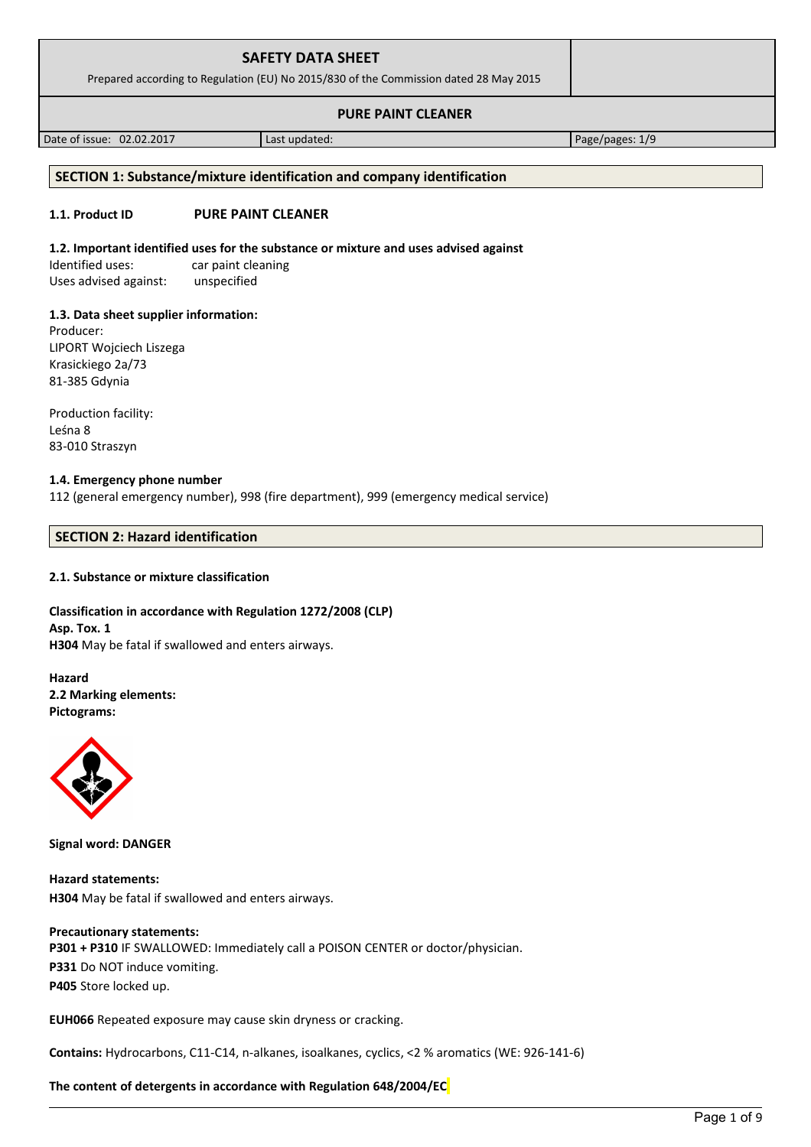| <b>SAFETY DATA SHEET</b><br>Prepared according to Regulation (EU) No 2015/830 of the Commission dated 28 May 2015 |  |
|-------------------------------------------------------------------------------------------------------------------|--|
| <b>PURE PAINT CLEANER</b>                                                                                         |  |

Date of issue: 02.02.2017 Last updated: Page/pages: 1/9

# **SECTION 1: Substance/mixture identification and company identification**

# **1.1. Product ID PURE PAINT CLEANER**

# **1.2. Important identified uses for the substance or mixture and uses advised against**

Identified uses: car paint cleaning Uses advised against: unspecified

# **1.3. Data sheet supplier information:**

Producer: LIPORT Wojciech Liszega Krasickiego 2a/73 81-385 Gdynia

Production facility: Leśna 8 83-010 Straszyn

# **1.4. Emergency phone number**

112 (general emergency number), 998 (fire department), 999 (emergency medical service)

# **SECTION 2: Hazard identification**

# **2.1. Substance or mixture classification**

# **Classification in accordance with Regulation 1272/2008 (CLP) Asp. Tox. 1 H304** May be fatal if swallowed and enters airways.

**Hazard 2.2 Marking elements: Pictograms:**



**Signal word: DANGER**

**Hazard statements: H304** May be fatal if swallowed and enters airways.

# **Precautionary statements:**

**P301 + P310** IF SWALLOWED: Immediately call a POISON CENTER or doctor/physician. **P331** Do NOT induce vomiting. **P405** Store locked up.

**EUH066** Repeated exposure may cause skin dryness or cracking.

**Contains:** Hydrocarbons, C11-C14, n-alkanes, isoalkanes, cyclics, <2 % aromatics (WE: 926-141-6)

# **The content of detergents in accordance with Regulation 648/2004/EC**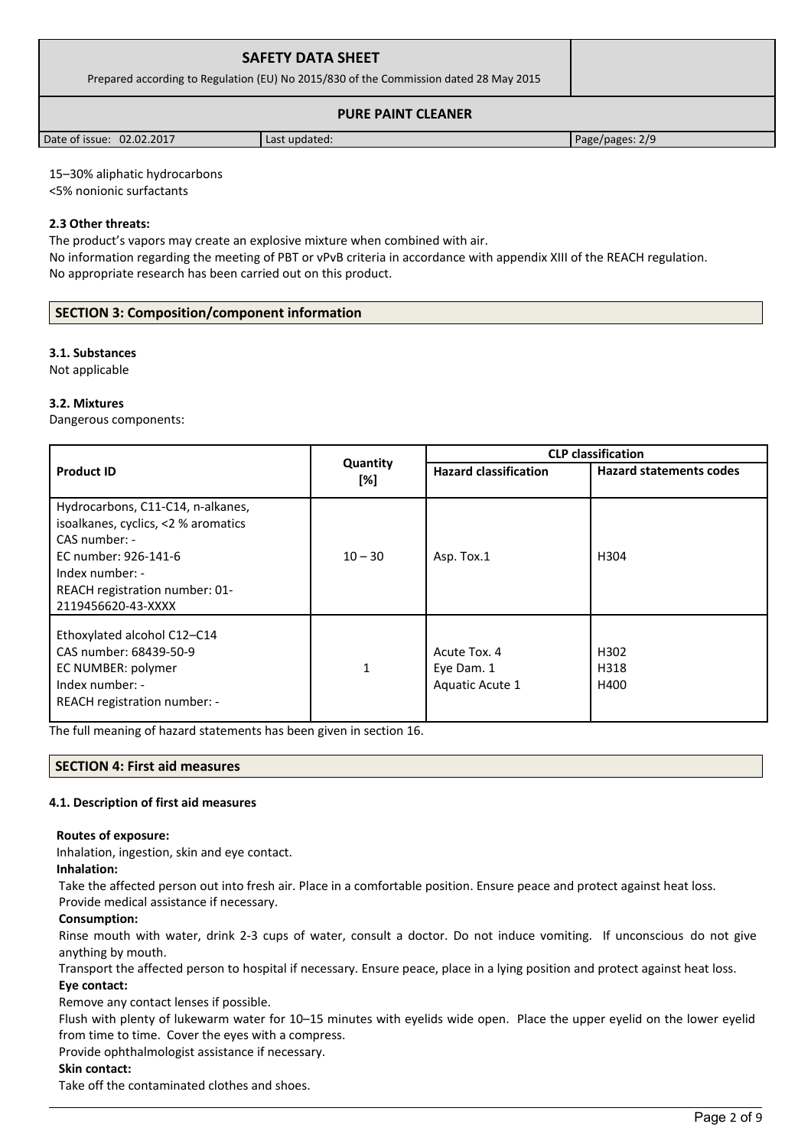| <b>SAFETY DATA SHEET</b><br>Prepared according to Regulation (EU) No 2015/830 of the Commission dated 28 May 2015 |               |                 |  |
|-------------------------------------------------------------------------------------------------------------------|---------------|-----------------|--|
| <b>PURE PAINT CLEANER</b>                                                                                         |               |                 |  |
| Date of issue: 02.02.2017                                                                                         | Last updated: | Page/pages: 2/9 |  |

15–30% aliphatic hydrocarbons

<5% nonionic surfactants

# **2.3 Other threats:**

The product's vapors may create an explosive mixture when combined with air.

No information regarding the meeting of PBT or vPvB criteria in accordance with appendix XIII of the REACH regulation. No appropriate research has been carried out on this product.

# **SECTION 3: Composition/component information**

# **3.1. Substances**

Not applicable

# **3.2. Mixtures**

Dangerous components:

|                                                                                                                                                                                              |                 | <b>CLP classification</b>                     |                                  |  |
|----------------------------------------------------------------------------------------------------------------------------------------------------------------------------------------------|-----------------|-----------------------------------------------|----------------------------------|--|
| <b>Product ID</b>                                                                                                                                                                            | Quantity<br>[%] | <b>Hazard classification</b>                  | <b>Hazard statements codes</b>   |  |
| Hydrocarbons, C11-C14, n-alkanes,<br>isoalkanes, cyclics, <2 % aromatics<br>CAS number: -<br>EC number: 926-141-6<br>Index number: -<br>REACH registration number: 01-<br>2119456620-43-XXXX | $10 - 30$       | Asp. Tox.1                                    | H304                             |  |
| Ethoxylated alcohol C12-C14<br>CAS number: 68439-50-9<br>EC NUMBER: polymer<br>Index number: -<br>REACH registration number: -                                                               | $\mathbf{1}$    | Acute Tox. 4<br>Eye Dam. 1<br>Aquatic Acute 1 | H <sub>302</sub><br>H318<br>H400 |  |

The full meaning of hazard statements has been given in section 16.

# **SECTION 4: First aid measures**

# **4.1. Description of first aid measures**

#### **Routes of exposure:**

Inhalation, ingestion, skin and eye contact.

# **Inhalation:**

Take the affected person out into fresh air. Place in a comfortable position. Ensure peace and protect against heat loss.

# Provide medical assistance if necessary.

# **Consumption:**

Rinse mouth with water, drink 2-3 cups of water, consult a doctor. Do not induce vomiting. If unconscious do not give anything by mouth.

Transport the affected person to hospital if necessary. Ensure peace, place in a lying position and protect against heat loss. **Eye contact:**

Remove any contact lenses if possible.

Flush with plenty of lukewarm water for 10–15 minutes with eyelids wide open. Place the upper eyelid on the lower eyelid from time to time. Cover the eyes with a compress.

Provide ophthalmologist assistance if necessary.

# **Skin contact:**

Take off the contaminated clothes and shoes.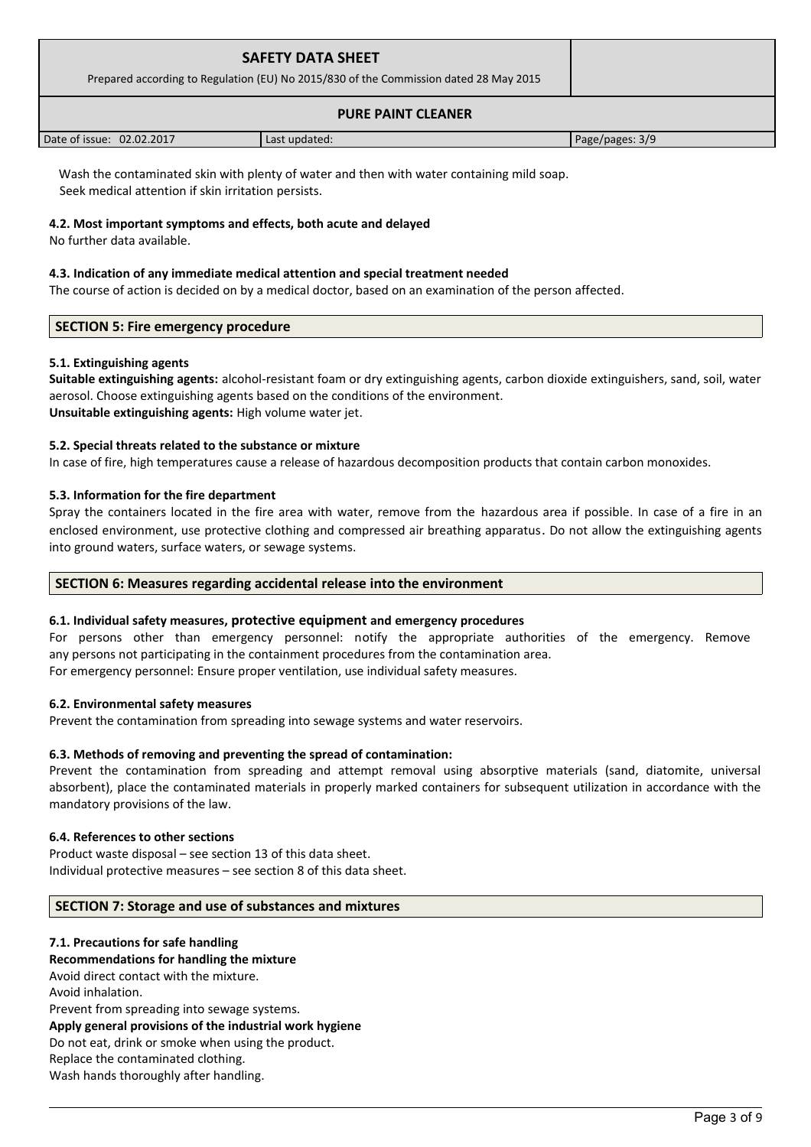| <b>SAFETY DATA SHEET</b><br>Prepared according to Regulation (EU) No 2015/830 of the Commission dated 28 May 2015 |               |                 |  |
|-------------------------------------------------------------------------------------------------------------------|---------------|-----------------|--|
| <b>PURE PAINT CLEANER</b>                                                                                         |               |                 |  |
| Date of issue: 02.02.2017                                                                                         | Last updated: | Page/pages: 3/9 |  |

Wash the contaminated skin with plenty of water and then with water containing mild soap. Seek medical attention if skin irritation persists.

# **4.2. Most important symptoms and effects, both acute and delayed**

No further data available.

#### **4.3. Indication of any immediate medical attention and special treatment needed**

The course of action is decided on by a medical doctor, based on an examination of the person affected.

# **SECTION 5: Fire emergency procedure**

# **5.1. Extinguishing agents**

**Suitable extinguishing agents:** alcohol-resistant foam or dry extinguishing agents, carbon dioxide extinguishers, sand, soil, water aerosol. Choose extinguishing agents based on the conditions of the environment. **Unsuitable extinguishing agents:** High volume water jet.

# **5.2. Special threats related to the substance or mixture**

In case of fire, high temperatures cause a release of hazardous decomposition products that contain carbon monoxides.

#### **5.3. Information for the fire department**

Spray the containers located in the fire area with water, remove from the hazardous area if possible. In case of a fire in an enclosed environment, use protective clothing and compressed air breathing apparatus. Do not allow the extinguishing agents into ground waters, surface waters, or sewage systems.

# **SECTION 6: Measures regarding accidental release into the environment**

# **6.1. Individual safety measures, protective equipment and emergency procedures**

For persons other than emergency personnel: notify the appropriate authorities of the emergency. Remove any persons not participating in the containment procedures from the contamination area. For emergency personnel: Ensure proper ventilation, use individual safety measures.

#### **6.2. Environmental safety measures**

Prevent the contamination from spreading into sewage systems and water reservoirs.

#### **6.3. Methods of removing and preventing the spread of contamination:**

Prevent the contamination from spreading and attempt removal using absorptive materials (sand, diatomite, universal absorbent), place the contaminated materials in properly marked containers for subsequent utilization in accordance with the mandatory provisions of the law.

#### **6.4. References to other sections**

Product waste disposal – see section 13 of this data sheet. Individual protective measures – see section 8 of this data sheet.

# **SECTION 7: Storage and use of substances and mixtures**

#### **7.1. Precautions for safe handling**

**Recommendations for handling the mixture**  Avoid direct contact with the mixture. Avoid inhalation. Prevent from spreading into sewage systems. **Apply general provisions of the industrial work hygiene**  Do not eat, drink or smoke when using the product.

Replace the contaminated clothing.

Wash hands thoroughly after handling.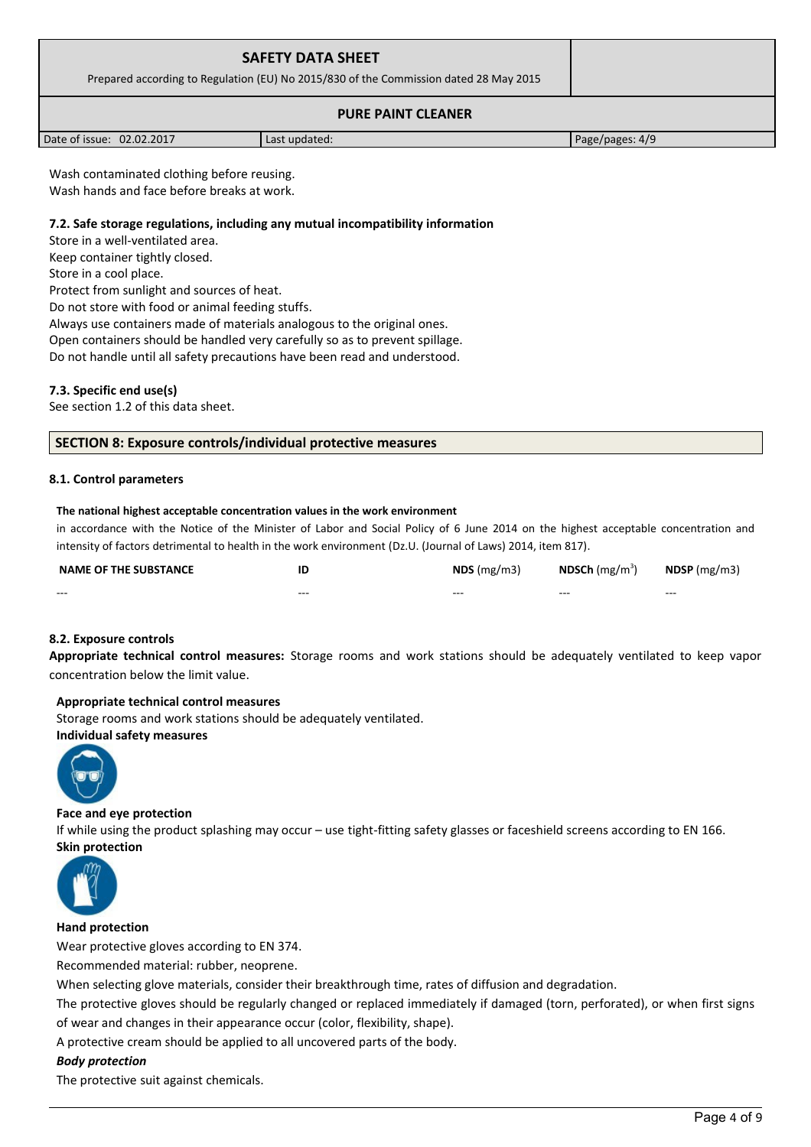| <b>SAFETY DATA SHEET</b><br>Prepared according to Regulation (EU) No 2015/830 of the Commission dated 28 May 2015 |               |                 |
|-------------------------------------------------------------------------------------------------------------------|---------------|-----------------|
|                                                                                                                   |               |                 |
| Date of issue: 02.02.2017                                                                                         | Last updated: | Page/pages: 4/9 |

Wash contaminated clothing before reusing. Wash hands and face before breaks at work.

#### **7.2. Safe storage regulations, including any mutual incompatibility information**

Store in a well-ventilated area.

Keep container tightly closed.

Store in a cool place.

Protect from sunlight and sources of heat.

Do not store with food or animal feeding stuffs.

Always use containers made of materials analogous to the original ones.

Open containers should be handled very carefully so as to prevent spillage.

Do not handle until all safety precautions have been read and understood.

#### **7.3. Specific end use(s)**

See section 1.2 of this data sheet.

#### **SECTION 8: Exposure controls/individual protective measures**

#### **8.1. Control parameters**

#### **The national highest acceptable concentration values in the work environment**

in accordance with the Notice of the Minister of Labor and Social Policy of 6 June 2014 on the highest acceptable concentration and intensity of factors detrimental to health in the work environment (Dz.U. (Journal of Laws) 2014, item 817).

| <b>NAME OF THE SUBSTANCE</b> |         | $NDS$ (mg/m3) | <b>NDSCh</b> (mg/m <sup>3</sup> ) | $N$ DSP (mg/m3) |
|------------------------------|---------|---------------|-----------------------------------|-----------------|
| $- - -$                      | $- - -$ | $- - -$       | $- - -$                           | $- - -$         |

#### **8.2. Exposure controls**

**Appropriate technical control measures:** Storage rooms and work stations should be adequately ventilated to keep vapor concentration below the limit value.

#### **Appropriate technical control measures**

Storage rooms and work stations should be adequately ventilated.

# **Individual safety measures**



#### **Face and eye protection**

If while using the product splashing may occur – use tight-fitting safety glasses or faceshield screens according to EN 166. **Skin protection** 



#### **Hand protection**

Wear protective gloves according to EN 374.

Recommended material: rubber, neoprene.

When selecting glove materials, consider their breakthrough time, rates of diffusion and degradation.

The protective gloves should be regularly changed or replaced immediately if damaged (torn, perforated), or when first signs

of wear and changes in their appearance occur (color, flexibility, shape).

A protective cream should be applied to all uncovered parts of the body.

# *Body protection*

The protective suit against chemicals.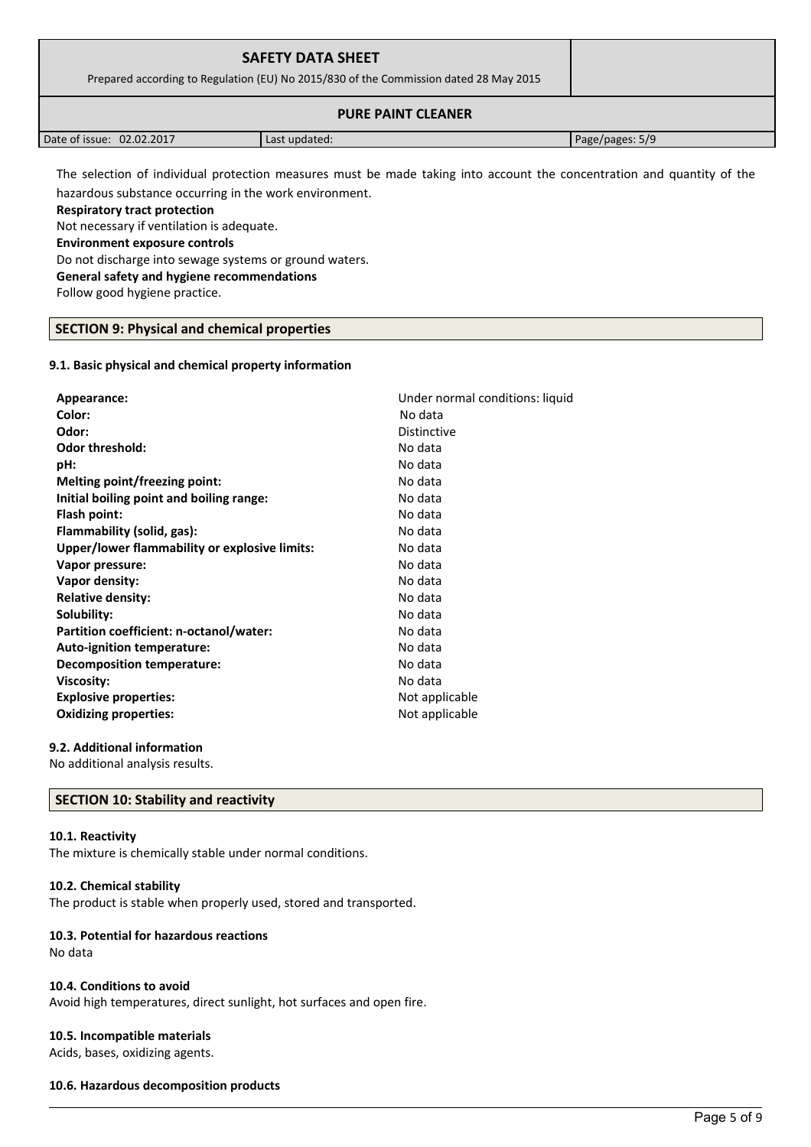| <b>SAFETY DATA SHEET</b><br>Prepared according to Regulation (EU) No 2015/830 of the Commission dated 28 May 2015 |               |                 |
|-------------------------------------------------------------------------------------------------------------------|---------------|-----------------|
| <b>PURE PAINT CLEANER</b>                                                                                         |               |                 |
| Date of issue: 02.02.2017                                                                                         | Last updated: | Page/pages: 5/9 |

The selection of individual protection measures must be made taking into account the concentration and quantity of the hazardous substance occurring in the work environment.

**Respiratory tract protection**

Not necessary if ventilation is adequate.

**Environment exposure controls** 

Do not discharge into sewage systems or ground waters.

**General safety and hygiene recommendations**

Follow good hygiene practice.

# **SECTION 9: Physical and chemical properties**

# **9.1. Basic physical and chemical property information**

| Appearance:                                   | Under normal conditions: liquid |
|-----------------------------------------------|---------------------------------|
| Color:                                        | No data                         |
| Odor:                                         | <b>Distinctive</b>              |
| <b>Odor threshold:</b>                        | No data                         |
| pH:                                           | No data                         |
| Melting point/freezing point:                 | No data                         |
| Initial boiling point and boiling range:      | No data                         |
| Flash point:                                  | No data                         |
| Flammability (solid, gas):                    | No data                         |
| Upper/lower flammability or explosive limits: | No data                         |
| Vapor pressure:                               | No data                         |
| Vapor density:                                | No data                         |
| <b>Relative density:</b>                      | No data                         |
| Solubility:                                   | No data                         |
| Partition coefficient: n-octanol/water:       | No data                         |
| Auto-ignition temperature:                    | No data                         |
| Decomposition temperature:                    | No data                         |
| Viscosity:                                    | No data                         |
| <b>Explosive properties:</b>                  | Not applicable                  |
| <b>Oxidizing properties:</b>                  | Not applicable                  |
|                                               |                                 |

# **9.2. Additional information**

No additional analysis results.

# **SECTION 10: Stability and reactivity**

# **10.1. Reactivity**

The mixture is chemically stable under normal conditions.

# **10.2. Chemical stability**

The product is stable when properly used, stored and transported.

# **10.3. Potential for hazardous reactions**

No data

# **10.4. Conditions to avoid**

Avoid high temperatures, direct sunlight, hot surfaces and open fire.

# **10.5. Incompatible materials**

Acids, bases, oxidizing agents.

# **10.6. Hazardous decomposition products**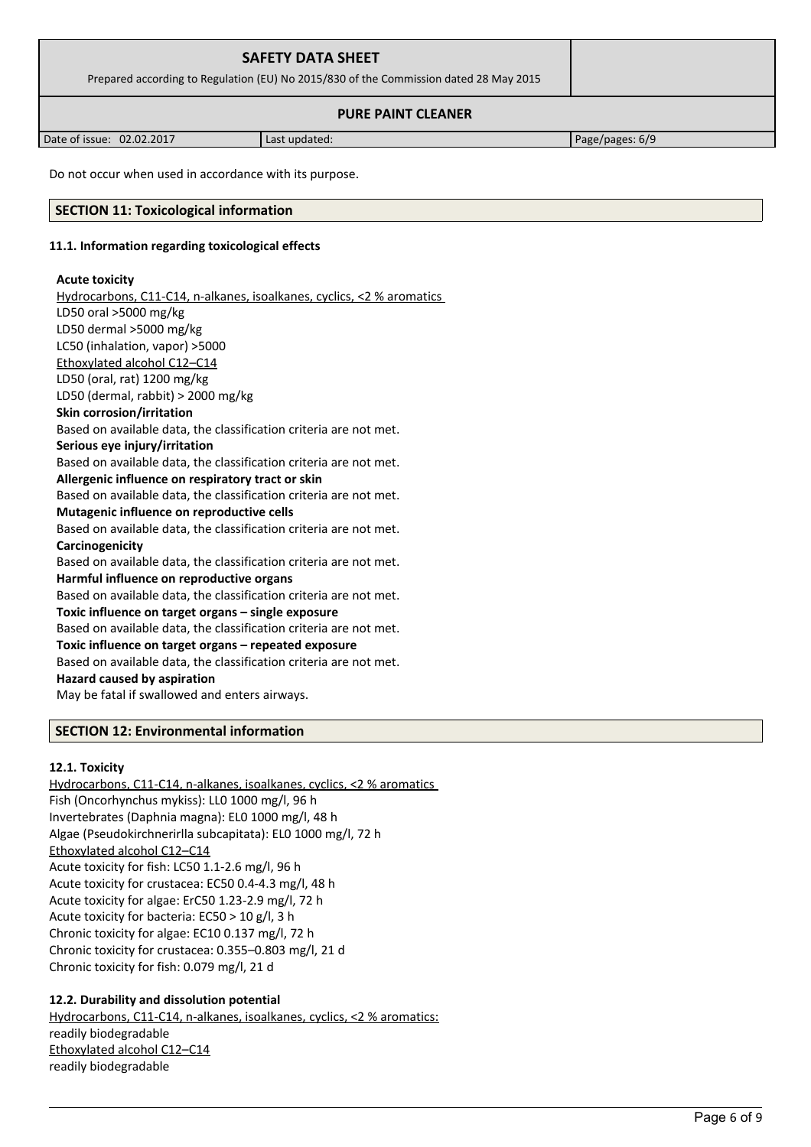| <b>SAFETY DATA SHEET</b><br>Prepared according to Regulation (EU) No 2015/830 of the Commission dated 28 May 2015 |  |
|-------------------------------------------------------------------------------------------------------------------|--|
| <b>PURE PAINT CLEANER</b>                                                                                         |  |

Date of issue: 02.02.2017 | Last updated: Page/pages: 6/9

Do not occur when used in accordance with its purpose.

# **SECTION 11: Toxicological information**

# **11.1. Information regarding toxicological effects**

# **Acute toxicity**

 Hydrocarbons, C11-C14, n-alkanes, isoalkanes, cyclics, <2 % aromatics LD50 oral >5000 mg/kg LD50 dermal >5000 mg/kg LC50 (inhalation, vapor) >5000 Ethoxylated alcohol C12–C14 LD50 (oral, rat) 1200 mg/kg LD50 (dermal, rabbit) > 2000 mg/kg **Skin corrosion/irritation** Based on available data, the classification criteria are not met. **Serious eye injury/irritation** Based on available data, the classification criteria are not met. **Allergenic influence on respiratory tract or skin** Based on available data, the classification criteria are not met. **Mutagenic influence on reproductive cells** Based on available data, the classification criteria are not met. **Carcinogenicity** Based on available data, the classification criteria are not met. **Harmful influence on reproductive organs** Based on available data, the classification criteria are not met. **Toxic influence on target organs – single exposure** Based on available data, the classification criteria are not met. **Toxic influence on target organs – repeated exposure** Based on available data, the classification criteria are not met. **Hazard caused by aspiration** May be fatal if swallowed and enters airways.

# **SECTION 12: Environmental information**

# **12.1. Toxicity**

Hydrocarbons, C11-C14, n-alkanes, isoalkanes, cyclics, <2 % aromatics Fish (Oncorhynchus mykiss): LL0 1000 mg/l, 96 h Invertebrates (Daphnia magna): EL0 1000 mg/l, 48 h Algae (Pseudokirchnerirlla subcapitata): EL0 1000 mg/l, 72 h Ethoxylated alcohol C12–C14 Acute toxicity for fish: LC50 1.1-2.6 mg/l, 96 h Acute toxicity for crustacea: EC50 0.4-4.3 mg/l, 48 h Acute toxicity for algae: ErC50 1.23-2.9 mg/l, 72 h Acute toxicity for bacteria: EC50 > 10 g/l, 3 h Chronic toxicity for algae: EC10 0.137 mg/l, 72 h Chronic toxicity for crustacea: 0.355–0.803 mg/l, 21 d Chronic toxicity for fish: 0.079 mg/l, 21 d

# **12.2. Durability and dissolution potential**

 Hydrocarbons, C11-C14, n-alkanes, isoalkanes, cyclics, <2 % aromatics: readily biodegradable Ethoxylated alcohol C12–C14 readily biodegradable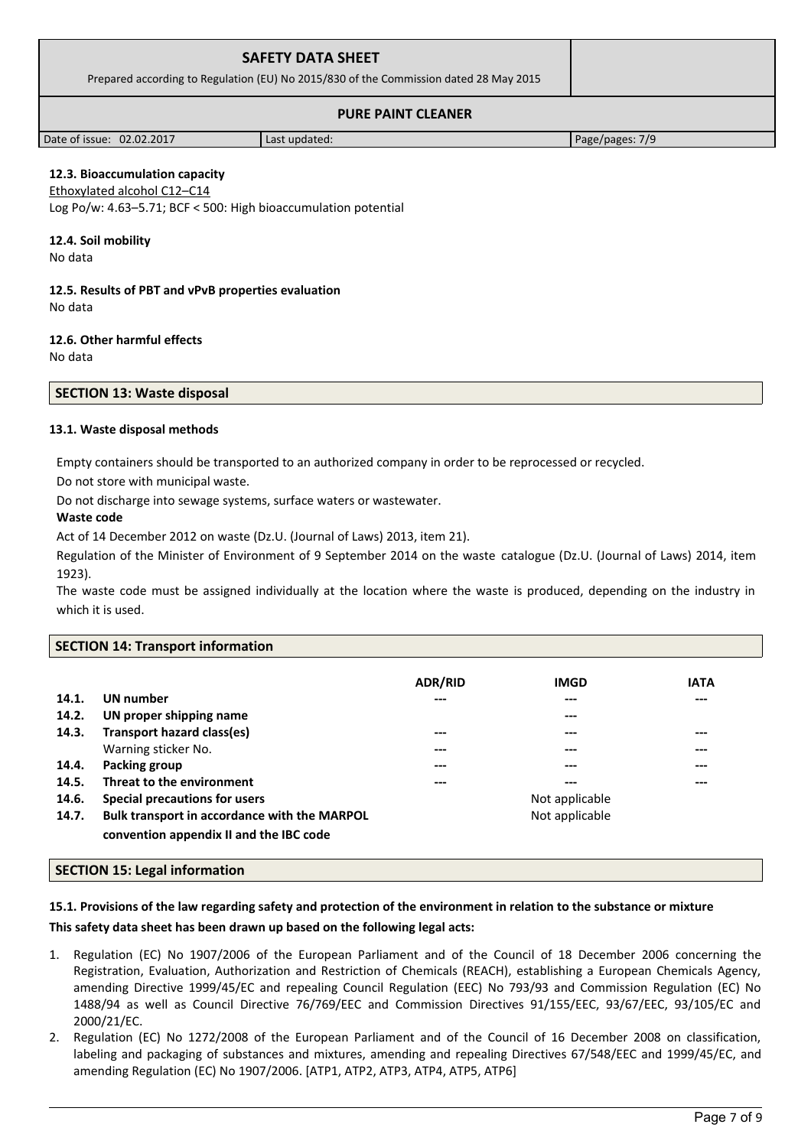| <b>SAFETY DATA SHEET</b><br>Prepared according to Regulation (EU) No 2015/830 of the Commission dated 28 May 2015 |  |
|-------------------------------------------------------------------------------------------------------------------|--|
| <b>PURE PAINT CLEANER</b>                                                                                         |  |

Date of issue: 02.02.2017 Last updated: Page/pages: 7/9

# **12.3. Bioaccumulation capacity**

Ethoxylated alcohol C12–C14 Log Po/w: 4.63–5.71; BCF < 500: High bioaccumulation potential

# **12.4. Soil mobility**

No data

**12.5. Results of PBT and vPvB properties evaluation** No data

# **12.6. Other harmful effects**

No data

# **SECTION 13: Waste disposal**

# **13.1. Waste disposal methods**

Empty containers should be transported to an authorized company in order to be reprocessed or recycled.

Do not store with municipal waste.

Do not discharge into sewage systems, surface waters or wastewater.

# **Waste code**

Act of 14 December 2012 on waste (Dz.U. (Journal of Laws) 2013, item 21).

Regulation of the Minister of Environment of 9 September 2014 on the waste catalogue (Dz.U. (Journal of Laws) 2014, item 1923).

The waste code must be assigned individually at the location where the waste is produced, depending on the industry in which it is used.

# **SECTION 14: Transport information**

|       |                                              | <b>ADR/RID</b> | <b>IMGD</b>    | <b>IATA</b> |
|-------|----------------------------------------------|----------------|----------------|-------------|
| 14.1. | UN number                                    | ---            | ---            | ---         |
| 14.2. | UN proper shipping name                      |                | ---            |             |
| 14.3. | Transport hazard class(es)                   | ---            | ---            | ---         |
|       | Warning sticker No.                          | ---            | ---            | ---         |
| 14.4. | Packing group                                | ---            | ---            | ---         |
| 14.5. | Threat to the environment                    | ---            | ---            | ---         |
| 14.6. | Special precautions for users                |                | Not applicable |             |
| 14.7. | Bulk transport in accordance with the MARPOL |                | Not applicable |             |
|       | convention appendix II and the IBC code      |                |                |             |

# **SECTION 15: Legal information**

**15.1. Provisions of the law regarding safety and protection of the environment in relation to the substance or mixture This safety data sheet has been drawn up based on the following legal acts:**

- 1. Regulation (EC) No 1907/2006 of the European Parliament and of the Council of 18 December 2006 concerning the Registration, Evaluation, Authorization and Restriction of Chemicals (REACH), establishing a European Chemicals Agency, amending Directive 1999/45/EC and repealing Council Regulation (EEC) No 793/93 and Commission Regulation (EC) No 1488/94 as well as Council Directive 76/769/EEC and Commission Directives 91/155/EEC, 93/67/EEC, 93/105/EC and 2000/21/EC.
- 2. Regulation (EC) No 1272/2008 of the European Parliament and of the Council of 16 December 2008 on classification, labeling and packaging of substances and mixtures, amending and repealing Directives 67/548/EEC and 1999/45/EC, and amending Regulation (EC) No 1907/2006. [ATP1, ATP2, ATP3, ATP4, ATP5, ATP6]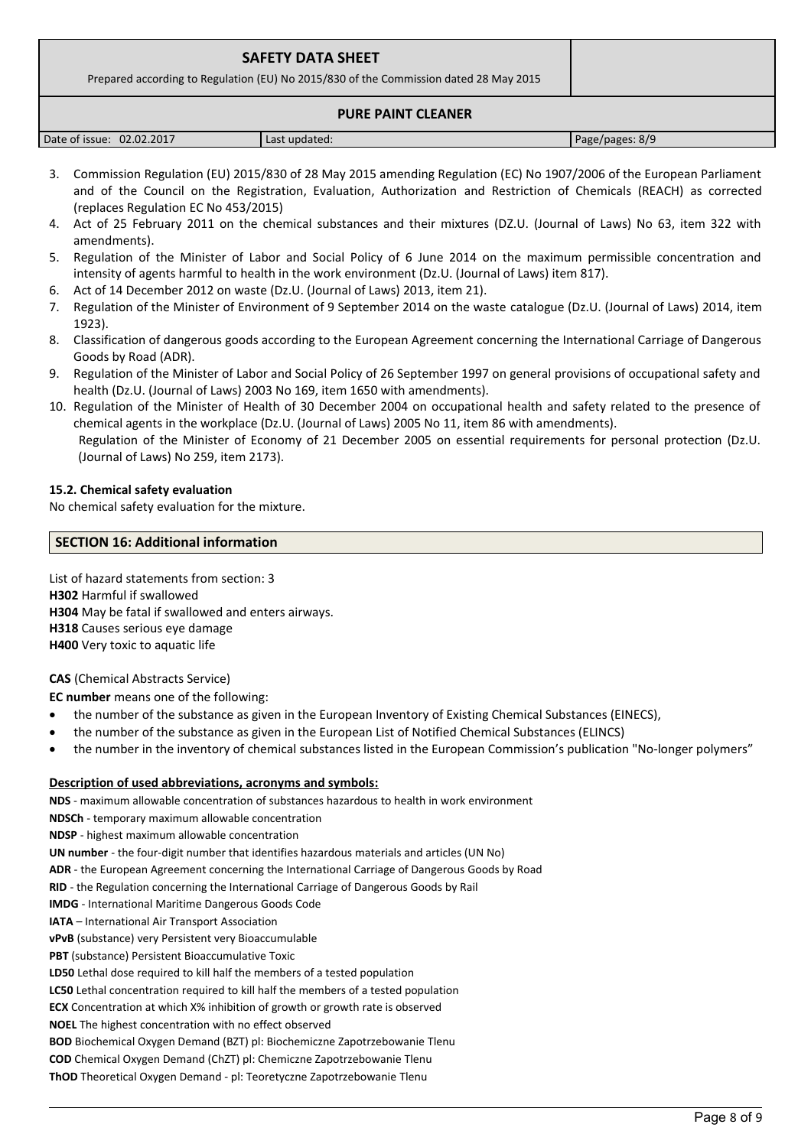| <b>SAFETY DATA SHEET</b><br>Prepared according to Regulation (EU) No 2015/830 of the Commission dated 28 May 2015 |  |
|-------------------------------------------------------------------------------------------------------------------|--|
| <b>PURE PAINT CLEANER</b>                                                                                         |  |

| 02.02.2017<br>Date of issue: | Last updated: | Page/pages: 8/9 |
|------------------------------|---------------|-----------------|

- 3. Commission Regulation (EU) 2015/830 of 28 May 2015 amending Regulation (EC) No 1907/2006 of the European Parliament and of the Council on the Registration, Evaluation, Authorization and Restriction of Chemicals (REACH) as corrected (replaces Regulation EC No 453/2015)
- 4. Act of 25 February 2011 on the chemical substances and their mixtures (DZ.U. (Journal of Laws) No 63, item 322 with amendments).
- 5. Regulation of the Minister of Labor and Social Policy of 6 June 2014 on the maximum permissible concentration and intensity of agents harmful to health in the work environment (Dz.U. (Journal of Laws) item 817).
- 6. Act of 14 December 2012 on waste (Dz.U. (Journal of Laws) 2013, item 21).
- 7. Regulation of the Minister of Environment of 9 September 2014 on the waste catalogue (Dz.U. (Journal of Laws) 2014, item 1923).
- 8. Classification of dangerous goods according to the European Agreement concerning the International Carriage of Dangerous Goods by Road (ADR).
- 9. Regulation of the Minister of Labor and Social Policy of 26 September 1997 on general provisions of occupational safety and health (Dz.U. (Journal of Laws) 2003 No 169, item 1650 with amendments).
- 10. Regulation of the Minister of Health of 30 December 2004 on occupational health and safety related to the presence of chemical agents in the workplace (Dz.U. (Journal of Laws) 2005 No 11, item 86 with amendments). Regulation of the Minister of Economy of 21 December 2005 on essential requirements for personal protection (Dz.U. (Journal of Laws) No 259, item 2173).

# **15.2. Chemical safety evaluation**

No chemical safety evaluation for the mixture.

# **SECTION 16: Additional information**

List of hazard statements from section: 3 **H302** Harmful if swallowed **H304** May be fatal if swallowed and enters airways. **H318** Causes serious eye damage **H400** Very toxic to aquatic life

# **CAS** (Chemical Abstracts Service)

**EC number** means one of the following:

- the number of the substance as given in the European Inventory of Existing Chemical Substances (EINECS),
- the number of the substance as given in the European List of Notified Chemical Substances (ELINCS)
- the number in the inventory of chemical substances listed in the European Commission's publication "No-longer polymers"

# **Description of used abbreviations, acronyms and symbols:**

**NDS** - maximum allowable concentration of substances hazardous to health in work environment **NDSCh** - temporary maximum allowable concentration **NDSP** - highest maximum allowable concentration **UN number** - the four-digit number that identifies hazardous materials and articles (UN No) **ADR** - the European Agreement concerning the International Carriage of Dangerous Goods by Road **RID** - the Regulation concerning the International Carriage of Dangerous Goods by Rail **IMDG** - International Maritime Dangerous Goods Code **IATA** – International Air Transport Association **vPvB** (substance) very Persistent very Bioaccumulable **PBT** (substance) Persistent Bioaccumulative Toxic **LD50** Lethal dose required to kill half the members of a tested population **LC50** Lethal concentration required to kill half the members of a tested population **ECX** Concentration at which X% inhibition of growth or growth rate is observed **NOEL** The highest concentration with no effect observed **BOD** Biochemical Oxygen Demand (BZT) pl: Biochemiczne Zapotrzebowanie Tlenu **COD** Chemical Oxygen Demand (ChZT) pl: Chemiczne Zapotrzebowanie Tlenu **ThOD** Theoretical Oxygen Demand - pl: Teoretyczne Zapotrzebowanie Tlenu